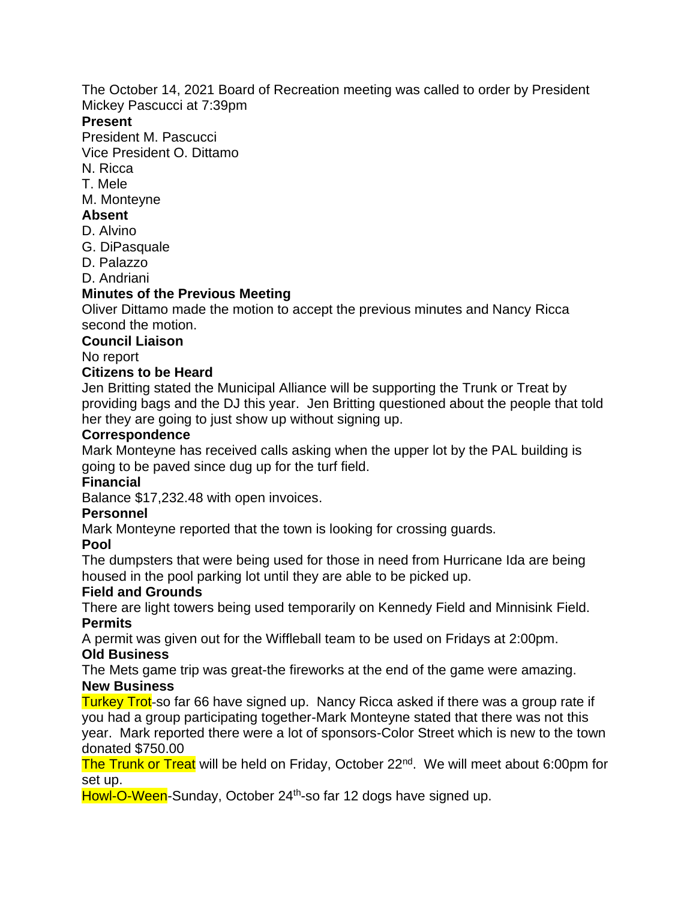The October 14, 2021 Board of Recreation meeting was called to order by President Mickey Pascucci at 7:39pm

#### **Present**

President M. Pascucci

Vice President O. Dittamo

N. Ricca

T. Mele

M. Monteyne

### **Absent**

- D. Alvino
- G. DiPasquale
- D. Palazzo

D. Andriani

# **Minutes of the Previous Meeting**

Oliver Dittamo made the motion to accept the previous minutes and Nancy Ricca second the motion.

### **Council Liaison**

No report

### **Citizens to be Heard**

Jen Britting stated the Municipal Alliance will be supporting the Trunk or Treat by providing bags and the DJ this year. Jen Britting questioned about the people that told her they are going to just show up without signing up.

#### **Correspondence**

Mark Monteyne has received calls asking when the upper lot by the PAL building is going to be paved since dug up for the turf field.

## **Financial**

Balance \$17,232.48 with open invoices.

## **Personnel**

Mark Monteyne reported that the town is looking for crossing guards.

#### **Pool**

The dumpsters that were being used for those in need from Hurricane Ida are being housed in the pool parking lot until they are able to be picked up.

## **Field and Grounds**

There are light towers being used temporarily on Kennedy Field and Minnisink Field. **Permits**

A permit was given out for the Wiffleball team to be used on Fridays at 2:00pm.

#### **Old Business**

The Mets game trip was great-the fireworks at the end of the game were amazing. **New Business**

Turkey Trot-so far 66 have signed up. Nancy Ricca asked if there was a group rate if you had a group participating together-Mark Monteyne stated that there was not this year. Mark reported there were a lot of sponsors-Color Street which is new to the town donated \$750.00

The Trunk or Treat will be held on Friday, October 22<sup>nd</sup>. We will meet about 6:00pm for set up.

Howl-O-Ween-Sunday, October 24<sup>th</sup>-so far 12 dogs have signed up.